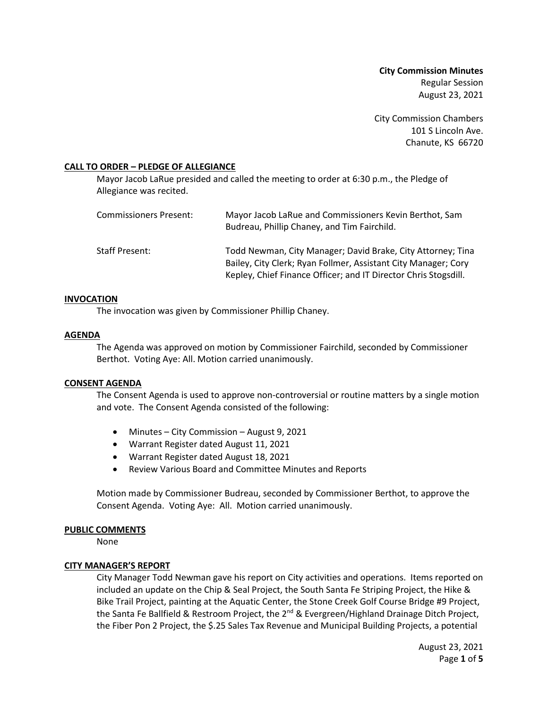**City Commission Minutes** Regular Session August 23, 2021

City Commission Chambers 101 S Lincoln Ave. Chanute, KS 66720

## **CALL TO ORDER – PLEDGE OF ALLEGIANCE**

Mayor Jacob LaRue presided and called the meeting to order at 6:30 p.m., the Pledge of Allegiance was recited.

| Commissioners Present: | Mayor Jacob LaRue and Commissioners Kevin Berthot, Sam<br>Budreau, Phillip Chaney, and Tim Fairchild.                                                                                            |
|------------------------|--------------------------------------------------------------------------------------------------------------------------------------------------------------------------------------------------|
| Staff Present:         | Todd Newman, City Manager; David Brake, City Attorney; Tina<br>Bailey, City Clerk; Ryan Follmer, Assistant City Manager; Cory<br>Kepley, Chief Finance Officer; and IT Director Chris Stogsdill. |

### **INVOCATION**

The invocation was given by Commissioner Phillip Chaney.

## **AGENDA**

The Agenda was approved on motion by Commissioner Fairchild, seconded by Commissioner Berthot. Voting Aye: All. Motion carried unanimously.

### **CONSENT AGENDA**

The Consent Agenda is used to approve non-controversial or routine matters by a single motion and vote. The Consent Agenda consisted of the following:

- Minutes City Commission August 9, 2021
- Warrant Register dated August 11, 2021
- Warrant Register dated August 18, 2021
- Review Various Board and Committee Minutes and Reports

Motion made by Commissioner Budreau, seconded by Commissioner Berthot, to approve the Consent Agenda. Voting Aye: All. Motion carried unanimously.

### **PUBLIC COMMENTS**

None

## **CITY MANAGER'S REPORT**

City Manager Todd Newman gave his report on City activities and operations. Items reported on included an update on the Chip & Seal Project, the South Santa Fe Striping Project, the Hike & Bike Trail Project, painting at the Aquatic Center, the Stone Creek Golf Course Bridge #9 Project, the Santa Fe Ballfield & Restroom Project, the 2<sup>nd</sup> & Evergreen/Highland Drainage Ditch Project, the Fiber Pon 2 Project, the \$.25 Sales Tax Revenue and Municipal Building Projects, a potential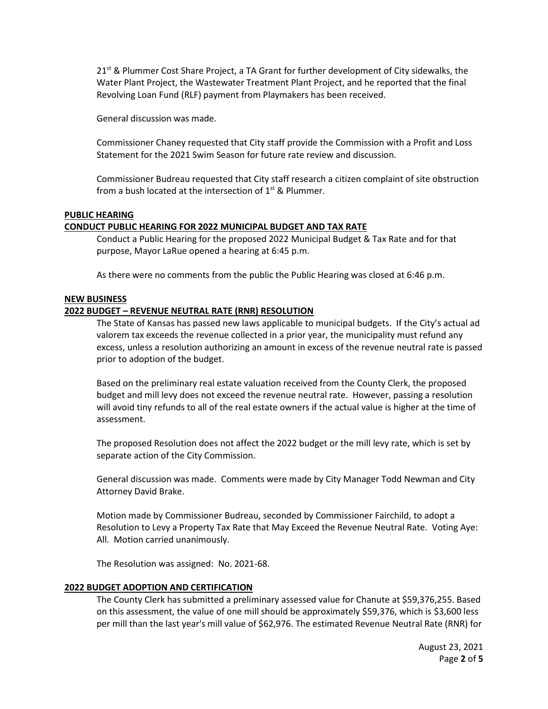$21<sup>st</sup>$  & Plummer Cost Share Project, a TA Grant for further development of City sidewalks, the Water Plant Project, the Wastewater Treatment Plant Project, and he reported that the final Revolving Loan Fund (RLF) payment from Playmakers has been received.

General discussion was made.

Commissioner Chaney requested that City staff provide the Commission with a Profit and Loss Statement for the 2021 Swim Season for future rate review and discussion.

Commissioner Budreau requested that City staff research a citizen complaint of site obstruction from a bush located at the intersection of  $1<sup>st</sup>$  & Plummer.

## **PUBLIC HEARING**

## **CONDUCT PUBLIC HEARING FOR 2022 MUNICIPAL BUDGET AND TAX RATE**

Conduct a Public Hearing for the proposed 2022 Municipal Budget & Tax Rate and for that purpose, Mayor LaRue opened a hearing at 6:45 p.m.

As there were no comments from the public the Public Hearing was closed at 6:46 p.m.

### **NEW BUSINESS**

## **2022 BUDGET – REVENUE NEUTRAL RATE (RNR) RESOLUTION**

The State of Kansas has passed new laws applicable to municipal budgets. If the City's actual ad valorem tax exceeds the revenue collected in a prior year, the municipality must refund any excess, unless a resolution authorizing an amount in excess of the revenue neutral rate is passed prior to adoption of the budget.

Based on the preliminary real estate valuation received from the County Clerk, the proposed budget and mill levy does not exceed the revenue neutral rate. However, passing a resolution will avoid tiny refunds to all of the real estate owners if the actual value is higher at the time of assessment.

The proposed Resolution does not affect the 2022 budget or the mill levy rate, which is set by separate action of the City Commission.

General discussion was made. Comments were made by City Manager Todd Newman and City Attorney David Brake.

Motion made by Commissioner Budreau, seconded by Commissioner Fairchild, to adopt a Resolution to Levy a Property Tax Rate that May Exceed the Revenue Neutral Rate. Voting Aye: All. Motion carried unanimously.

The Resolution was assigned: No. 2021-68.

### **2022 BUDGET ADOPTION AND CERTIFICATION**

The County Clerk has submitted a preliminary assessed value for Chanute at \$59,376,255. Based on this assessment, the value of one mill should be approximately \$59,376, which is \$3,600 less per mill than the last year's mill value of \$62,976. The estimated Revenue Neutral Rate (RNR) for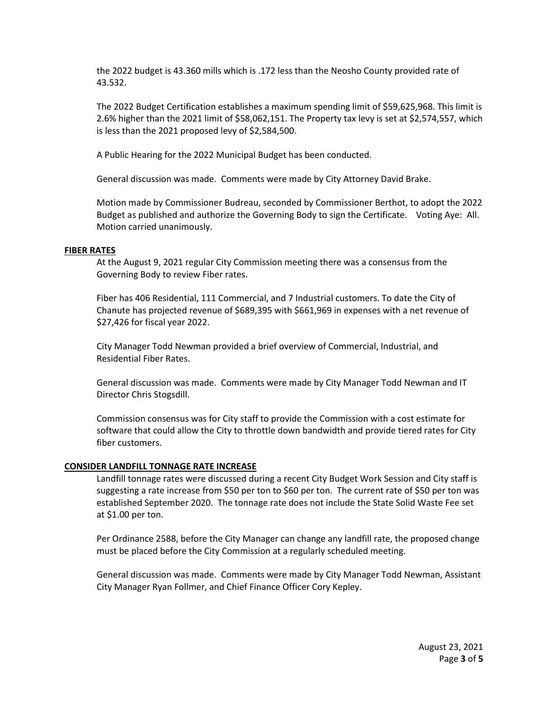the 2022 budget is 43.360 mills which is .172 less than the Neosho County provided rate of 43.532.

The 2022 Budget Certification establishes a maximum spending limit of \$59,625,968. This limit is 2.6% higher than the 2021 limit of \$58,062,151. The Property tax levy is set at \$2,574,557, which is less than the 2021 proposed levy of \$2,584,500.

A Public Hearing for the 2022 Municipal Budget has been conducted.

General discussion was made. Comments were made by City Attorney David Brake.

Motion made by Commissioner Budreau, seconded by Commissioner Berthot, to adopt the 2022 Budget as published and authorize the Governing Body to sign the Certificate. Voting Aye: All. Motion carried unanimously.

### **FIBER RATES**

At the August 9, 2021 regular City Commission meeting there was a consensus from the Governing Body to review Fiber rates.

Fiber has 406 Residential, 111 Commercial, and 7 Industrial customers. To date the City of Chanute has projected revenue of \$689,395 with \$661,969 in expenses with a net revenue of \$27,426 for fiscal year 2022.

City Manager Todd Newman provided a brief overview of Commercial, Industrial, and Residential Fiber Rates.

General discussion was made. Comments were made by City Manager Todd Newman and IT Director Chris Stogsdill.

Commission consensus was for City staff to provide the Commission with a cost estimate for software that could allow the City to throttle down bandwidth and provide tiered rates for City fiber customers.

### **CONSIDER LANDFILL TONNAGE RATE INCREASE**

Landfill tonnage rates were discussed during a recent City Budget Work Session and City staff is suggesting a rate increase from \$50 per ton to \$60 per ton. The current rate of \$50 per ton was established September 2020. The tonnage rate does not include the State Solid Waste Fee set at \$1.00 per ton.

Per Ordinance 2588, before the City Manager can change any landfill rate, the proposed change must be placed before the City Commission at a regularly scheduled meeting.

General discussion was made. Comments were made by City Manager Todd Newman, Assistant City Manager Ryan Follmer, and Chief Finance Officer Cory Kepley.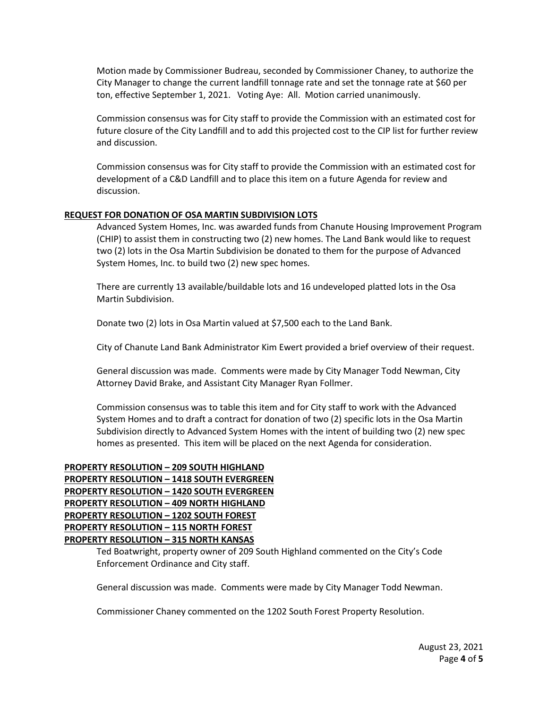Motion made by Commissioner Budreau, seconded by Commissioner Chaney, to authorize the City Manager to change the current landfill tonnage rate and set the tonnage rate at \$60 per ton, effective September 1, 2021. Voting Aye: All. Motion carried unanimously.

Commission consensus was for City staff to provide the Commission with an estimated cost for future closure of the City Landfill and to add this projected cost to the CIP list for further review and discussion.

Commission consensus was for City staff to provide the Commission with an estimated cost for development of a C&D Landfill and to place this item on a future Agenda for review and discussion.

## **REQUEST FOR DONATION OF OSA MARTIN SUBDIVISION LOTS**

Advanced System Homes, Inc. was awarded funds from Chanute Housing Improvement Program (CHIP) to assist them in constructing two (2) new homes. The Land Bank would like to request two (2) lots in the Osa Martin Subdivision be donated to them for the purpose of Advanced System Homes, Inc. to build two (2) new spec homes.

There are currently 13 available/buildable lots and 16 undeveloped platted lots in the Osa Martin Subdivision.

Donate two (2) lots in Osa Martin valued at \$7,500 each to the Land Bank.

City of Chanute Land Bank Administrator Kim Ewert provided a brief overview of their request.

General discussion was made. Comments were made by City Manager Todd Newman, City Attorney David Brake, and Assistant City Manager Ryan Follmer.

Commission consensus was to table this item and for City staff to work with the Advanced System Homes and to draft a contract for donation of two (2) specific lots in the Osa Martin Subdivision directly to Advanced System Homes with the intent of building two (2) new spec homes as presented. This item will be placed on the next Agenda for consideration.

# **PROPERTY RESOLUTION – 209 SOUTH HIGHLAND PROPERTY RESOLUTION – 1418 SOUTH EVERGREEN PROPERTY RESOLUTION – 1420 SOUTH EVERGREEN PROPERTY RESOLUTION – 409 NORTH HIGHLAND PROPERTY RESOLUTION – 1202 SOUTH FOREST PROPERTY RESOLUTION – 115 NORTH FOREST PROPERTY RESOLUTION – 315 NORTH KANSAS**

Ted Boatwright, property owner of 209 South Highland commented on the City's Code Enforcement Ordinance and City staff.

General discussion was made. Comments were made by City Manager Todd Newman.

Commissioner Chaney commented on the 1202 South Forest Property Resolution.